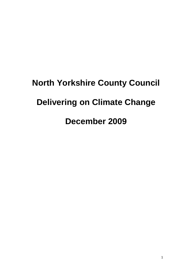# **North Yorkshire County Council Delivering on Climate Change December 2009**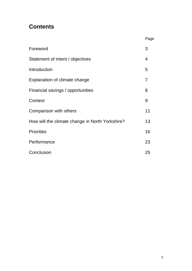## **Contents**

|                                                 | Page           |
|-------------------------------------------------|----------------|
| Foreword                                        | 3              |
| Statement of intent / objectives                | $\overline{4}$ |
| Introduction                                    | 5              |
| Explanation of climate change                   | 7              |
| Financial savings / opportunities               | 8              |
| Context                                         | 9              |
| Comparison with others                          | 11             |
| How will the climate change in North Yorkshire? | 13             |
| <b>Priorities</b>                               | 16             |
| Performance                                     | 23             |
| Conclusion                                      | 25             |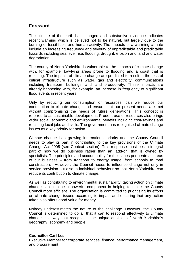## **Foreword**

The climate of the earth has changed and substantive evidence indicates recent warming which is believed not to be natural, but largely due to the burning of fossil fuels and human activity. The impacts of a warming climate include an increasing frequency and severity of unpredictable and predictable hazards including sea level rise, flooding, drought, erosion and land and water degradation.

The county of North Yorkshire is vulnerable to the impacts of climate change with, for example, low-lying areas prone to flooding and a coast that is receding. The impacts of climate change are predicted to result in the loss of critical infrastructure such as water, gas and electricity; communications including transport; buildings; and land productivity. These impacts are already happening with, for example, an increase in frequency of significant flood events in recent years.

Only by reducing our consumption of resources, can we reduce our contribution to climate change and ensure that our present needs are met without compromising the needs of future generations. This concept is referred to as sustainable development. Prudent use of resources also brings wider social, economic and environmental benefits including cost-savings and retaining local jobs and skills. The government has recognised climate change issues as a key priority for action.

Climate change is a growing international priority and the County Council needs to play its part in contributing to the key provisions of the Climate Change Act 2008 (see Context section). This response must be an integral part of how we do business rather than an 'add-on' that is owned by specialists. The principles and accountability for the issues permeate all areas of our business – from transport to energy usage, from schools to road construction. However, the Council needs to influence change not only in service provision but also in individual behaviour so that North Yorkshire can reduce its contribution to climate change.

As well as contributing to environmental sustainability, taking action on climate change can also be a powerful component in helping to make the County Council more efficient. The organisation is committed to prioritising its efforts on climate change issues according to impact and ensuring that any action taken also offers good value for money.

Nobody underestimates the nature of the challenge. However, the County Council is determined to do all that it can to respond effectively to climate change in a way that recognises the unique qualities of North Yorkshire's geography, economy and people.

#### **Councillor Carl Les**

Executive Member for corporate services, finance, performance management, and procurement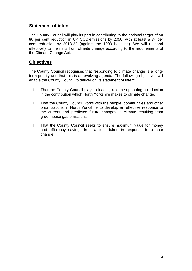## **Statement of intent**

The County Council will play its part in contributing to the national target of an 80 per cent reduction in UK CO2 emissions by 2050, with at least a 34 per cent reduction by 2018-22 (against the 1990 baseline). We will respond effectively to the risks from climate change according to the requirements of the Climate Change Act.

## **Objectives**

The County Council recognises that responding to climate change is a longterm priority and that this is an evolving agenda. The following objectives will enable the County Council to deliver on its statement of intent:

- I. That the County Council plays a leading role in supporting a reduction in the contribution which North Yorkshire makes to climate change.
- II. That the County Council works with the people, communities and other organisations in North Yorkshire to develop an effective response to the current and predicted future changes in climate resulting from greenhouse gas emissions.
- III. That the County Council seeks to ensure maximum value for money and efficiency savings from actions taken in response to climate change.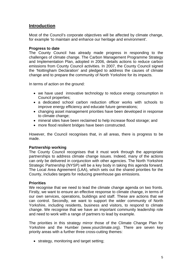## **Introduction**

Most of the Council's corporate objectives will be affected by climate change, for example 'to maintain and enhance our heritage and environment'.

#### **Progress to date**

The County Council has already made progress in responding to the challenges of climate change. The Carbon Management Programme Strategy and Implementation Plan, adopted in 2006, details actions to reduce carbon emissions from County Council activities. In 2007, the County Council signed the 'Nottingham Declaration' and pledged to address the causes of climate change and to prepare the community of North Yorkshire for its impacts.

In terms of action on the ground:

- we have used innovative technology to reduce energy consumption in Council properties;
- a dedicated school carbon reduction officer works with schools to improve energy efficiency and educate future generations;
- changing asset management priorities have been developed in response to climate change;
- mineral sites have been reclaimed to help increase flood storage; and
- more flood resilient bridges have been constructed.

However, the Council recognises that, in all areas, there is progress to be made.

#### **Partnership working**

The County Council recognises that it must work through the appropriate partnerships to address climate change issues. Indeed, many of the actions can only be delivered in conjunction with other agencies. The North Yorkshire Strategic Partnership (NYSP) will be a key body in taking this agenda forward. The Local Area Agreement (LAA), which sets out the shared priorities for the County, includes targets for reducing greenhouse gas emissions.

#### **Priorities**

We recognise that we need to lead the climate change agenda on two fronts. Firstly, we want to ensure an effective response to climate change, in terms of our own services, operations, buildings and staff. These are actions that we can control. Secondly, we want to support the wider community of North Yorkshire, including residents, business and visitors, to respond to climate change. We recognise that we have an important community leadership role and need to work with a range of partners to lead by example.

The priorities in this strategy mirror those of the Climate Change Plan for Yorkshire and the Humber (www.yourclimate.org). There are seven key priority areas with a further three cross-cutting themes:

• strategy, monitoring and target setting;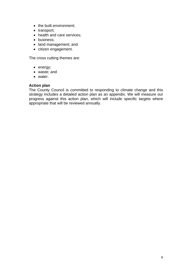- the built environment;
- transport;
- health and care services;
- business;
- land management; and
- citizen engagement.

The cross cutting themes are:

- energy;
- waste; and
- water.

#### **Action plan**

The County Council is committed to responding to climate change and this strategy includes a detailed action plan as an appendix. We will measure our progress against this action plan, which will include specific targets where appropriate that will be reviewed annually.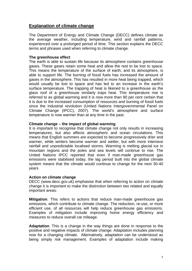## **Explanation of climate change**

The Department of Energy and Climate Change (DECC) defines climate as the average weather, including temperature, wind and rainfall patterns, experienced over a prolonged period of time. This section explains the DECC terms and phrases used when referring to climate change.

#### **The greenhouse effect**

The earth is able to sustain life because its atmosphere contains greenhouse gases. These gases retain some heat and allow the rest to be lost to space. This means the temperature of the surface of earth, and its atmosphere, is able to support life. The burning of fossil fuels has increased the amount of gases in the atmosphere. This has resulted in more heat being trapped, which would usually be lost to space and has led to an increase in the earth's surface temperature. The trapping of heat is likened to a greenhouse as the glass roof of a greenhouse similarly traps heat. This temperature rise is referred to as global warming and it is now more than 90 per cent certain that it is due to the increased consumption of resources and burning of fossil fuels since the industrial revolution (United Nations Intergovernmental Panel on Climate Change (IPCC), 2007). The world's atmosphere and surface temperature is now warmer than at any time in the past.

#### **Climate change – the impact of global warming**

It is important to recognise that climate change not only results in increasing temperatures, but also affects atmospheric and ocean circulations. This means that English summers are expected to become progressively drier and warmer, while winters become warmer and wetter, but with more intensive rainfall and unpredictable localised storms. Warming is melting glacial ice in mountain regions and the poles and sea levels will continue to rise. The United Nations IPCC reported that even if man-made greenhouse gas emissions were stabilised today, the lag period built into the global climate system means that the climate would continue to change for the next 30-40 years

#### **Action on climate change**

DECC (www.decc.gov.uk) emphasise that when referring to action on climate change it is important to make the distinction between two related and equally important areas:

**Mitigation**. This refers to actions that reduce man-made greenhouse gas emissions, which contribute to climate change. The reduction, re-use, or more efficient use, of all resources will help reduce greenhouse gas emissions. Examples of mitigation include improving home energy efficiency and measures to reduce overall car mileage.

**Adaptation**. This is a change in the way things are done in response to the positive and negative impacts of climate change. Adaptation includes planning now for a changing climate. Alternatively, adaptation can be understood as being simply risk management. Examples of adaptation include making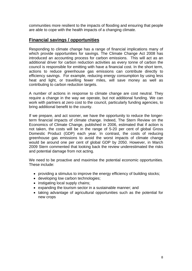communities more resilient to the impacts of flooding and ensuring that people are able to cope with the health impacts of a changing climate.

## **Financial savings / opportunities**

Responding to climate change has a range of financial implications many of which provide opportunities for savings. The Climate Change Act 2008 has introduced an accounting process for carbon emissions. This will act as an additional driver for carbon reduction activities as every tonne of carbon the council is responsible for emitting with have a financial cost. In the short term, actions to reduce greenhouse gas emissions can contribute directly to efficiency savings. For example, reducing energy consumption by using less heat and light, or travelling fewer miles, will save money as well as contributing to carbon reduction targets.

A number of actions in response to climate change are cost neutral. They require a change in the way we operate, but not additional funding. We can work with partners at zero cost to the council, particularly funding agencies, to bring additional benefit to the county.

If we prepare, and act sooner, we have the opportunity to reduce the longerterm financial impacts of climate change. Indeed, The Stern Review on the Economics of Climate Change, published in 2006, estimated that if action is not taken, the costs will be in the range of 5-20 per cent of global Gross Domestic Product (GDP) each year. In contrast, the costs of reducing greenhouse gas emissions to avoid the worst impacts of climate change would be around one per cent of global GDP by 2050. However, in March 2009 Stern commented that looking back the review underestimated the risks and potential damage from not acting.

We need to be proactive and maximise the potential economic opportunities. These include:

- providing a stimulus to improve the energy efficiency of building stocks;
- developing low carbon technologies;
- instigating local supply chains:
- expanding the tourism sector in a sustainable manner; and
- taking advantage of agricultural opportunities such as the potential for new crops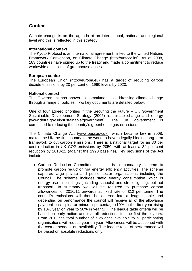## **Context**

Climate change is on the agenda at an international, national and regional level and this is reflected in this strategy.

#### **International context**

The Kyoto Protocol is an international agreement, linked to the United Nations Framework Convention, on Climate Change (http://unfccc.int). As of 2008, 183 countries have signed up to the treaty and made a commitment to reduce worldwide emissions of greenhouse gases.

#### **European context**

The European Union [\(http://europa.eu](http://europa.eu)) has a target of reducing carbon dioxide emissions by 20 per cent on 1990 levels by 2020.

#### **National context**

The Government has shown its commitment to addressing climate change through a range of policies. Two key documents are detailed below.

One of four agreed priorities in the Securing the Future – UK Government Sustainable Development Strategy (2005) is climate change and energy (www.defra.gov.uk/sustainable/government). The UK government is committed to reducing the country's greenhouse gas emissions.

The Climate Change Act ([www.opsi.gov.uk\)](http://www.opsi.gov.uk), which became law in 2008, makes the UK the first country in the world to have a legally binding long-term framework to cut carbon emissions. There is a national target for an 80 per cent reduction in UK CO2 emissions by 2050, with at least a 34 per cent reduction by 2018-22 (against the 1990 baseline). Key provisions of the Act include:

• Carbon Reduction Commitment – this is a mandatory scheme to promote carbon reduction via energy efficiency activities. The scheme captures large private and public sector organisations including the Council. The scheme includes static energy consumption which is energy use in buildings (including schools) and street lighting, but not transport. In summary we will be required to purchase carbon allowances for 2010/11 onwards at fixed rate of £12 per tonne. The council's emissions will then be entered into a league table and depending on performance the council will receive all of the allowance payment back, plus or minus a percentage (10% in the first year rising by 10% year on year to 50% in year 5). The league table criteria will be based on early action and overall reductions for the first three years. From 2013 the total number of allowance available to all participating organisations will reduce year on year. Allowances will be auctioned with the cost dependent on availability. The league table of performance will be based on absolute reductions only.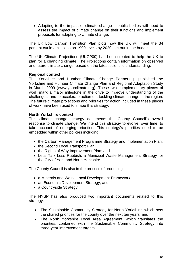• Adapting to the impact of climate change – public bodies will need to assess the impact of climate change on their functions and implement proposals for adapting to climate change.

The UK Low Carbon Transition Plan plots how the UK will meet the 34 percent cut in emissions on 1990 levels by 2020, set out in the budget.

The UK Climate Projections (UKCP09) has been created to help the UK to plan for a changing climate. The Projections contain information on observed and future climate change, based on the latest scientific understanding.

#### **Regional context**

The Yorkshire and Humber Climate Change Partnership published the Yorkshire and Humber Climate Change Plan and Regional Adaptation Study in March 2009 (www.yourclimate.org). These two complementary pieces of work mark a major milestone in the drive to improve understanding of the challenges, and to accelerate action on, tackling climate change in the region. The future climate projections and priorities for action included in these pieces of work have been used to shape this strategy.

#### **North Yorkshire context**

This climate change strategy documents the County Council's overall response to climate change. We intend this strategy to evolve, over time, to take account of emerging priorities. This strategy's priorities need to be embedded within other policies including:

- the Carbon Management Programme Strategy and Implementation Plan;
- the Second Local Transport Plan;
- the Rights of Way Improvement Plan; and
- Let's Talk Less Rubbish, a Municipal Waste Management Strategy for the City of York and North Yorkshire.

The County Council is also in the process of producing:

- a Minerals and Waste Local Development Framework;
- an Economic Development Strategy; and
- a Countryside Strategy.

The NYSP has also produced two important documents related to this strategy:

- The Sustainable Community Strategy for North Yorkshire, which sets the shared priorities for the county over the next ten years; and
- The North Yorkshire Local Area Agreement, which translates the priorities, contained with the Sustainable Community Strategy into three-year improvement targets.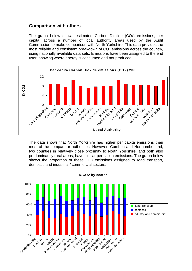## **Comparison with others**

The graph below shows estimated Carbon Dioxide (CO2) emissions, per capita, across a number of local authority areas used by the Audit Commission to make comparison with North Yorkshire. This data provides the most reliable and consistent breakdown of CO<sub>2</sub> emissions across the country, using nationally available data sets. Emissions have been assigned to the end user, showing where energy is consumed and not produced.



The data shows that North Yorkshire has higher per capita emissions than most of the comparator authorities. However, Cumbria and Northumberland, two counties in relatively close proximity to North Yorkshire, and both also predominantly rural areas, have similar per capita emissions. The graph below shows the proportion of these CO<sub>2</sub> emissions assigned to road transport, domestic and industrial / commercial sectors.

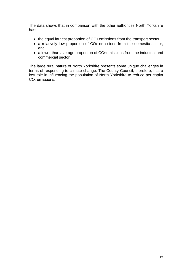The data shows that in comparison with the other authorities North Yorkshire has:

- the equal largest proportion of CO<sub>2</sub> emissions from the transport sector;
- a relatively low proportion of CO<sub>2</sub> emissions from the domestic sector; and
- a lower than average proportion of CO<sub>2</sub> emissions from the industrial and commercial sector.

The large rural nature of North Yorkshire presents some unique challenges in terms of responding to climate change. The County Council, therefore, has a key role in influencing the population of North Yorkshire to reduce per capita CO<sub>2</sub> emissions.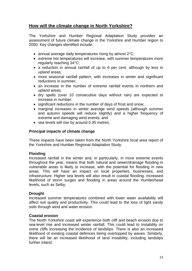## **How will the climate change in North Yorkshire?**

The Yorkshire and Humber Regional Adaptation Study provides an assessment of future climate change in the Yorkshire and Humber region to 2050. Key changes identified include:

- annual average daily temperatures rising by almost 2°C;
- extreme hot temperatures will increase, with summer temperatures more regularly reaching 34°C;
- a reduction in annual rainfall of up to 6 per cent, although by less in upland areas;
- more seasonal rainfall pattern, with increases in winter and significant reductions in summer;
- an increase in the number of extreme rainfall events in northern and upland areas;
- dry spells (over 10 consecutive days without rain) are expected to increase in number;
- significant reductions in the number of days of frost and snow;
- marginal increases in winter average wind speeds (although summer and autumn speeds will reduce slightly) and a higher frequency of extreme and damaging wind events; and
- sea levels will rise by around 0.35 metres.

#### **Principal impacts of climate change**

These impacts have been taken from the North Yorkshire local area report of the Yorkshire and Humber Regional Adaptation Study.

#### **Flooding**

Increased rainfall in the winter and, in particularly, in more extreme events throughout the year, means that both natural and sewer/drainage flooding in vulnerable areas is likely to increase, with the potential for flooding in new areas. This will have an impact on local properties, businesses, and infrastructure. Higher sea levels will also result in coastal flooding, increased likelihood of storm surges and flooding in areas around the Humberhead levels, such as Selby.

#### **Drought**

Increased summer temperatures combined with lower water availability will affect soil quality and productivity. This could lead to the loss of light sandy soils through wind and water erosion.

#### **Coastal erosion**

The North Yorkshire coast will experience both cliff and beach erosion due to sea-level rise and increased winter rainfall. This could lead to instability on some cliffs increasing the incidence of landslips. There is also an increased likelihood of existing coastal defences being overtopped by waves. Similarly, there will be an increased likelihood of land instability, including landslips further inland.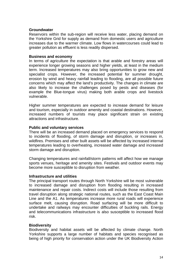#### **Groundwater**

Reservoirs within the sub-region will receive less water, placing demand on the Yorkshire Grid for supply as demand from domestic users and agriculture increases due to the warmer climate. Low flows in watercourses could lead to greater pollution as effluent is less readily dispersed.

#### **Business and economy**

In terms of agriculture the expectation is that arable and forestry areas will experience longer growing seasons and higher yields, at least in the medium term. Increased temperatures may also bring opportunities to grow new and specialist crops. However, the increased potential for summer drought, erosion by wind and heavy rainfall leading to flooding, are all possible future concerns which may affect the land's productivity. The changes in climate are also likely to increase the challenges posed by pests and diseases (for example the Blue-tongue virus) making both arable crops and livestock vulnerable.

Higher summer temperatures are expected to increase demand for leisure and tourism, especially in outdoor amenity and coastal destinations. However, increased numbers of tourists may place significant strain on existing attractions and infrastructure.

#### **Public and voluntary services**

There will be an increased demand placed on emergency services to respond to incidents of flooding, of storm damage and disruption, or increases in, wildfires. Premises and other built assets will be affected by increased internal temperatures leading to overheating, increased water damage and increased storm damage and disruption.

Changing temperatures and rainfall/storm patterns will affect how we manage sports venues, heritage and amenity sites. Festivals and outdoor events may become more susceptible to disruption from weather.

#### **Infrastructure and utilities**

The principal transport routes through North Yorkshire will be most vulnerable to increased damage and disruption from flooding resulting in increased maintenance and repair costs. Indirect costs will include those resulting from travel disruption along strategic national routes, such as the East Coast Main Line and the A1. As temperatures increase more rural roads will experience surface melt, causing disruption. Road surfacing will be more difficult to undertake and railways may encounter difficulties of buckling rails. Energy and telecommunications infrastructure is also susceptible to increased flood risk.

#### **Biodiversity**

Biodiversity and habitat assets will be affected by climate change. North Yorkshire supports a large number of habitats and species recognised as being of high priority for conservation action under the UK Biodiversity Action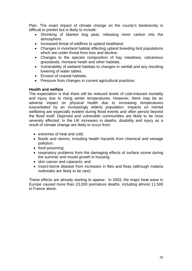Plan. The exact impact of climate change on the county's biodiversity is difficult to predict but is likely to include:

- Shrinking of blanket bog peat, releasing more carbon into the atmosphere.
- Increased threat of wildfires to upland heathland.
- Changes in moorland habitat affecting upland breeding bird populations which are under threat from loss and decline.
- Changes to the species composition of hay meadows, calcareous grasslands, montane heath and other habitats.
- Vulnerability of wetland habitats to changes in rainfall and any resulting lowering of water tables.
- Erosion of coastal habitats.
- Pressure from changes in current agricultural practices.

#### **Health and welfare**

The expectation is that there will be reduced levels of cold-induced mortality and injury due to rising winter temperatures. However, there may be an adverse impact on physical health due to increasing temperatures exacerbated by an increasingly elderly population. Impacts on mental wellbeing are especially evident during flood events and often persist beyond the flood itself. Deprived and vulnerable communities are likely to be most severely affected. In the UK increases in deaths, disability and injury as a result of climate change are likely to occur from:

- extremes of heat and cold;
- floods and storms, including health hazards from chemical and sewage pollution;
- food poisoning;
- respiratory problems from the damaging effects of surface ozone during the summer and mould growth in housing;
- skin cancer and cataracts: and
- insect-borne disease from increases in flies and fleas (although malaria outbreaks are likely to be rare).

These effects are already starting to appear. In 2003, the major heat wave in Europe caused more than 23,000 premature deaths, including almost 11,500 in France alone.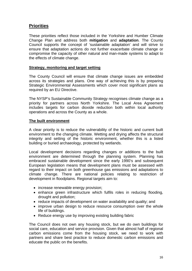## **Priorities**

These priorities reflect those included in the Yorkshire and Humber Climate Change Plan and address both **mitigation** and **adaptation**. The County Council supports the concept of 'sustainable adaptation' and will strive to ensure that adaptation actions do not further exacerbate climate change or compromise the capacity of other natural and man-made systems to adapt to the effects of climate change.

#### **Strategy, monitoring and target setting**

The County Council will ensure that climate change issues are embedded across its strategies and plans. One way of achieving this is by preparing Strategic Environmental Assessments which cover most significant plans as required by an EU Directive.

The NYSP's Sustainable Community Strategy recognises climate change as a priority for partners across North Yorkshire. The Local Area Agreement includes targets for carbon dioxide reduction both within local authority operations and across the County as a whole.

#### **The built environment**

A clear priority is to reduce the vulnerability of the historic and current built environment to the changing climate. Wetting and drying affects the structural integrity and setting of the historic environment, whether this is a listed building or buried archaeology, protected by wetlands.

Local development decisions regarding changes or additions to the built environment are determined through the planning system. Planning has embraced sustainable development since the early 1990's and subsequent European legislation means that development plans must be assessed with regard to their impact on both greenhouse gas emissions and adaptations to climate change. There are national policies relating to restriction of development in floodplains. Regional targets aim to:

- increase renewable energy provision;
- enhance green infrastructure which fulfils roles in reducing flooding, drought and pollution;
- reduce impacts of development on water availability and quality; and
- improve urban design to reduce resource consumption over the whole life of buildings.
- Reduce energy use by improving existing building fabric

The Council does not own any housing stock, but we do own buildings for social care, education and service provision. Given that almost half of regional carbon emissions come from the housing stock, we need to work with partners and share best practice to reduce domestic carbon emissions and educate the public on the benefits.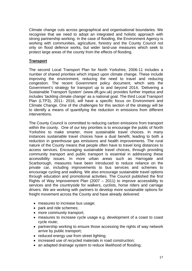Climate change cuts across geographical and organisational boundaries. We recognise that we need to adopt an integrated and holistic approach with strong partnership working. In the case of flooding, the Environment Agency is working with communities, agriculture, forestry and the County Council not only on flood defence works, but wider land-use measures which seek to protect large areas of the county from the effects of flooding.

### **Transport**

The second Local Transport Plan for North Yorkshire, 2006-11 includes a number of shared priorities which impact upon climate change. These include improving the environment, reducing the need to travel and reducing congestion. The recent Government policy document, which sets the Government's strategy for transport up to and beyond 2014, 'Delivering a Sustainable Transport System' (www.dft.gov.uk) provides further impetus and includes 'tackling climate change' as a national goal. The third Local Transport Plan (LTP3), 2011- 2016, will have a specific focus on Environment and Climate Change. One of the challenges for this section of the strategy will be to identify a means of quantifying the reduction in emissions from different interventions.

The County Council is committed to reducing carbon emissions from transport within the county. One of our key priorities is to encourage the public of North Yorkshire to make smarter, more sustainable travel choices. In many instances sustainable travel choices have a dual benefit, leading to both a reduction in greenhouse gas emissions and health improvements. The rural nature of the County means that people often have to travel long distances to access services. Encouraging sustainable travel choices, through providing community transport and public transport is essential in addressing these accessibility issues. In more urban areas such as Harrogate and Scarborough, measures have been introduced to reduce reliance on the private car, including improvements to bus services and schemes to encourage cycling and walking. We also encourage sustainable travel options through education and promotional activities. The Council published the first Rights of Way Improvement Plan (2007 – 2011) to improve accessibility to services and the countryside for walkers, cyclists, horse riders and carriage drivers. We are working with partners to develop more sustainable options for freight movement across the County and have already delivered:

- measures to increase bus usage;
- park and ride schemes;
- more community transport;
- measures to increase cycle usage e.g. development of a coast to coast cycle route;
- partnership working to ensure those accessing the rights of way network arrive by public transport;
- reduced energy use from street lighting:
- increased use of recycled materials in road construction;
- an adapted drainage system to reduce likelihood of flooding;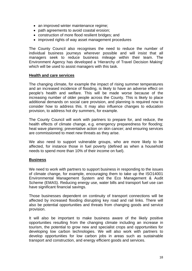- an improved winter maintenance regime;
- path agreements to avoid coastal erosion;
- construction of more flood resilient bridges; and
- improved rights of way asset management procedures

The County Council also recognises the need to reduce the number of individual business journeys wherever possible and will insist that all managers seek to reduce business mileage within their team. The Environment Agency has developed a 'Hierarchy of Travel Decision Making' which will be used to assist managers with this task.

#### **Health and care services**

The changing climate, for example the impact of rising summer temperatures and an increased incidence of flooding, is likely to have an adverse effect on people's health and welfare. This will be made worse because of the increasing number of older people across the County. This is likely to place additional demands on social care provision, and planning is required now to consider how to address this. It may also influence changes to education provision, to address hot dry summers, for example.

The County Council will work with partners to prepare for, and reduce, the health effects of climate change, e.g. emergency preparedness for flooding; heat wave planning; preventative action on skin cancer; and ensuring services are commissioned to meet new threats as they arise.

We also need to support vulnerable groups, who are more likely to be affected, for instance those in fuel poverty (defined as when a household needs to spend more than 10% of their income on fuel).

#### **Business**

We need to work with partners to support business in responding to the issues of climate change, for example, encouraging them to take up the ISO14001 Environmental Management System and the Eco Management & Audit Scheme (EMAS). Reducing energy use, water bills and transport fuel use can have significant financial savings.

Those businesses dependent on continuity of transport connections will be affected by increased flooding disrupting key road and rail links. There will also be potential opportunities and threats from changing goods and service provision.

It will also be important to make business aware of the likely positive opportunities resulting from the changing climate including an increase in tourism, the potential to grow new and specialist crops and opportunities for developing low carbon technologies. We will also work with partners to develop opportunities for low carbon jobs in areas such as sustainable transport and construction, and energy efficient goods and services.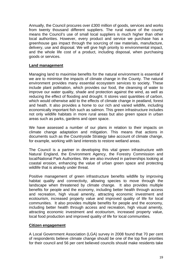Annually, the Council procures over £300 million of goods, services and works from twenty thousand different suppliers. The rural nature of the county means the Council's use of small local suppliers is much higher than other local authorities. However, every product and service we purchase has a greenhouse gas impact through the sourcing of raw materials, manufacture, delivery, use and disposal. We will give high priority to environmental impact, and the whole life cost of a product, including disposal, when purchasing goods or services.

#### **Land management**

Managing land to maximise benefits for the natural environment is essential if we are to minimise the impacts of climate change in the County. The natural environment provides many essential ecosystem services to society. These include plant pollination, which provides our food, the cleansing of water to improve our water quality, shade and protection against the wind, as well as reducing the effect of flooding and drought. It stores vast quantities of carbon, which would otherwise add to the effects of climate change in peatland, forest and heath. It also provides a home to our rich and varied wildlife, including economically important fish such as salmon. This green infrastructure includes not only wildlife habitats in more rural areas but also green space in urban areas such as parks, gardens and open space.

We have assessed a number of our plans in relation to their impacts on climate change adaptation and mitigation. This means that actions in documents such as the Countryside Strategy take account of climate change, for example, working with land interests to restore wetland areas.

The Council is a partner in developing this vital green infrastructure with Natural England, the Environment Agency, the Forestry Commission and local/National Park Authorities. We are also involved in partnerships looking at coastal erosion, enhancing the value of urban green space and protecting wildlife that is already under threat.

Positive management of green infrastructure benefits wildlife by improving habitat quality and connectivity, allowing species to move through the landscape when threatened by climate change. It also provides multiple benefits for people and the economy, including better health through access and recreation, high visual amenity, attracting economic investment and ecotourism, increased property value and improved quality of life for local communities. It also provides multiple benefits for people and the economy, including better health through access and recreation, high visual amenity, attracting economic investment and ecotourism, increased property value, local food production and improved quality of life for local communities.

#### **Citizen engagement**

A Local Government Association (LGA) survey in 2008 found that 70 per cent of respondents believe climate change should be one of the top five priorities for their council and 56 per cent believed councils should make residents take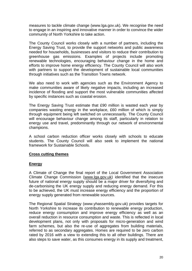measures to tackle climate change (www.lga.gov.uk). We recognise the need to engage in an inspiring and innovative manner in order to convince the wider community of North Yorkshire to take action.

The County Council works closely with a number of partners, including the Energy Saving Trust, to provide the support networks and public awareness needed for households, businesses and visitors to reduce their contribution to greenhouse gas emissions. Examples of projects include promoting renewable technologies, encouraging behaviour change in the home and efforts to improve home energy efficiency. The County Council will also work with partners to support the development of sustainable local communities through initiatives such as the Transition Towns network.

We also need to work with agencies such as the Environment Agency to make communities aware of likely negative impacts, including an increased incidence of flooding and support the most vulnerable communities affected by specific instances such as coastal erosion.

The Energy Saving Trust estimate that £90 million is wasted each year by companies wasting energy in the workplace, £60 million of which is simply through equipment being left switched on unnecessarily. The County Council will encourage behaviour change among its staff, particularly in relation to energy use and travel, predominantly through our network of environmental champions.

A school carbon reduction officer works closely with schools to educate students. The County Council will also seek to implement the national framework for Sustainable Schools.

#### **Cross cutting themes**

#### **Energy**

A Climate of Change the final report of the Local Government Association Climate Change Commission ([www.lga.gov.uk\)](http://www.lga.gov.uk) identified that the insecure future of national energy supply should be a major driver for diversifying and de-carbonising the UK energy supply and reducing energy demand. For this to be achieved, the UK must increase energy efficiency and the proportion of energy supply generated from renewable sources.

The Regional Spatial Strategy (www.yhassembly.gov.uk) provides targets for North Yorkshire to increase its contribution to renewable energy production, reduce energy consumption and improve energy efficiency as well as an overall reduction in resource consumption and waste. This is reflected in local development plans, not only with proposals for micro-generation and wind farm schemes, but also the re-use of aggregates from building materials, referred to as secondary aggregates. Homes are required to be zero carbon rated by 2016 with a view to extending this to all other buildings. There are also steps to save water, as this consumes energy in its supply and treatment,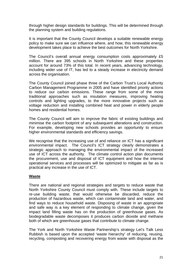through higher design standards for buildings. This will be determined through the planning system and building regulations.

It is important that the County Council develops a suitable renewable energy policy to make sure we can influence where, and how, this renewable energy development takes place to achieve the best outcomes for North Yorkshire.

The Council's overall annual energy consumption costs approximately £5 million. There are 395 schools in North Yorkshire and these properties account for around 73% of this total. In recent years, advancing technology, including wider use of IT, has led to a steady increase in electricity demand across the organisation.

The County Council joined phase three of the Carbon Trust's Local Authority Carbon Management Programme in 2005 and have identified priority actions to reduce our carbon emissions. These range from some of the more traditional approaches such as insulation measures, improving heating controls and lighting upgrades, to the more innovative projects such as voltage reduction and installing combined heat and power in elderly people homes and residential homes.

The County Council will aim to improve the fabric of existing buildings and minimise the carbon footprint of any subsequent alterations and construction. For example, developing new schools provides an opportunity to ensure higher environmental standards and efficiency savings.

We recognise that the increasing use of and reliance on ICT has a significant environmental impact. The Council's ICT strategy clearly demonstrates a strategic approach to managing the environmental impact of the increased use of ICT across the authority. The climate control action plan documents the procurement, use and disposal of ICT equipment and how the internal operational services and processes will be optimized to mitigate as far as is practical any increase in the use of ICT.

#### **Waste**

There are national and regional strategies and targets to reduce waste that North Yorkshire County Council must comply with. These include targets to re-use building waste, that would otherwise be discarded, reduce the production of hazardous waste, which can contaminate land and water, and find ways to reduce household waste. Disposing of waste in an appropriate and safe way is a key element of responding to climate change, given the impact land filling waste has on the production of greenhouse gases. As biodegradable waste decomposes it produces carbon dioxide and methane both of which are greenhouse gases that contribute to climate change.

The York and North Yorkshire Waste Partnership's strategy Let's Talk Less Rubbish is based upon the accepted 'waste hierarchy' of reducing, reusing, recycling, composting and recovering energy from waste with disposal as the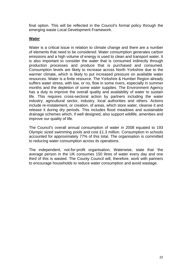final option. This will be reflected in the Council's formal policy through the emerging waste Local Development Framework.

#### **Water**

Water is a critical issue in relation to climate change and there are a number of elements that need to be considered. Water consumption generates carbon emissions and a high volume of energy is used to clean and transport water. It is also important to consider the water that is consumed indirectly through production processes and produce that is purchased and consumed. Consumption levels are likely to increase across North Yorkshire due to the warmer climate, which is likely to put increased pressure on available water resources. Water is a finite resource. The Yorkshire & Humber Region already suffers water stress, with low, or no, flow in some rivers, especially in summer months and the depletion of some water supplies. The Environment Agency has a duty to improve the overall quality and availability of water to sustain life. This requires cross-sectoral action by partners including the water industry, agricultural sector, industry, local authorities and others. Actions include re-instatement, or creation, of areas, which store water, cleanse it and release it during dry periods. This includes flood meadows and sustainable drainage schemes which, if well designed, also support wildlife, amenities and improve our quality of life.

The Council's overall annual consumption of water in 2008 equated to 193 Olympic sized swimming pools and cost £1.3 million. Consumption in schools accounted for approximately 77% of this total. The organisation is committed to reducing water consumption across its operations.

The independent, not-for-profit organisation, Waterwise, state that 'the average person in the UK consumes 150 litres of water every day and one third of this is wasted. The County Council will, therefore, work with partners to encourage households to reduce water consumption and avoid wastage.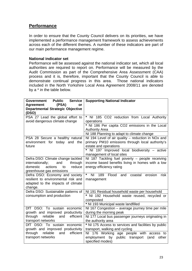## **Performance**

In order to ensure that the County Council delivers on its priorities, we have implemented a performance management framework to assess achievements across each of the different themes. A number of these indicators are part of our main performance management regime.

#### **National indicator set**

Performance will be assessed against the national indicator set, which all local authorities are required to report on. Performance will be measured by the Audit Commission as part of the Comprehensive Area Assessment (CAA) process and it is, therefore, important that the County Council is able to demonstrate continual progress in this area. Those national indicators included in the North Yorkshire Local Area Agreement 2008/11 are denoted by a \* in the table below.

| <b>Public</b><br>Service  <br>Government                                                                                                   | <b>Supporting National Indicator</b>                                                                                            |
|--------------------------------------------------------------------------------------------------------------------------------------------|---------------------------------------------------------------------------------------------------------------------------------|
| (PSA)<br><b>Agreement</b><br>or<br><b>Departmental Strategic Objective</b><br>(DSO)                                                        |                                                                                                                                 |
| PSA 27 Lead the global effort to<br>avoid dangerous climate change                                                                         | *<br>NI 185 CO2 reduction from Local Authority<br>operations                                                                    |
|                                                                                                                                            | * NI 186 Per capita CO2 emissions in the Local<br><b>Authority Area</b>                                                         |
|                                                                                                                                            | NI 188 Planning to adapt to climate change                                                                                      |
| PSA 28 Secure a healthy natural<br>environment for today and the<br>future                                                                 | NI 194 Level of air quality - reduction in NOx and<br>primary PM10 emissions through local authority's<br>estate and operations |
|                                                                                                                                            | * NI 197 Improved local biodiversity - active<br>management of local sites                                                      |
| Defra DSO: Climate change tackled<br>internationally;<br>and<br>through<br>domestic<br>actions<br>reduce<br>to<br>greenhouse gas emissions | NI 187 Tackling fuel poverty - people receiving<br>income based benefits living in homes with a low<br>energy efficiency rating |
| Defra DSO: Economy and society<br>resilient to environmental risk and<br>adapted to the impacts of climate<br>change.                      | $\star$<br>N <sub>l</sub><br>189 Flood<br>and coastal<br>erosion<br>risk<br>management                                          |
| Defra DSO: Sustainable patterns of                                                                                                         | NI 191 Residual household waste per household                                                                                   |
| consumption and production                                                                                                                 | * NI 192 Household waste reused, recycled or<br>composted                                                                       |
|                                                                                                                                            | * NI 193 Municipal waste landfilled                                                                                             |
| DfT DSO: To sustain economic<br>growth and improved productivity                                                                           | NI 167 Congestion - average journey time per mile<br>during the morning peak                                                    |
| reliable and<br>efficient<br>through                                                                                                       | NI 177 Local bus passenger journeys originating in                                                                              |
| transport networks<br>DfT DSO: To sustain economic                                                                                         | the authority area<br>* NI 175 Access to services and facilities by public                                                      |
| growth and improved productivity                                                                                                           | transport, walking and cycling                                                                                                  |
| reliable<br>and<br>efficient<br>through                                                                                                    | NI 176 Working age people with access to                                                                                        |
| transport networks                                                                                                                         | employment by public transport (and<br>other                                                                                    |
|                                                                                                                                            | specified modes)                                                                                                                |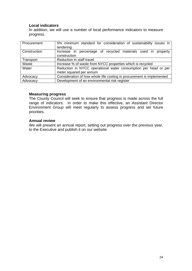#### **Local indicators**

In addition, we will use a number of local performance indicators to measure progress.

| Procurement  | 5% minimum standard for consideration of sustainability issues in<br>tendering             |
|--------------|--------------------------------------------------------------------------------------------|
| Construction | Increase in percentage of recycled materials used in property<br>construction              |
| Transport    | Reduction in staff travel                                                                  |
| Waste        | Increase % of waste from NYCC properties which is recycled                                 |
| Water        | Reduction in NYCC operational water consumption per head or per<br>meter squared per annum |
| Advocacy     | Consideration of how whole life costing in procurement is implemented                      |
| Advocacy     | Development of an environmental risk register                                              |

#### **Measuring progress**

The County Council will seek to ensure that progress is made across the full range of indicators. In order to make this effective, an Assistant Director Environment Group will meet regularly to assess progress and set future priorities.

#### **Annual review**

We will present an annual report, setting out progress over the previous year, to the Executive and publish it on our website.